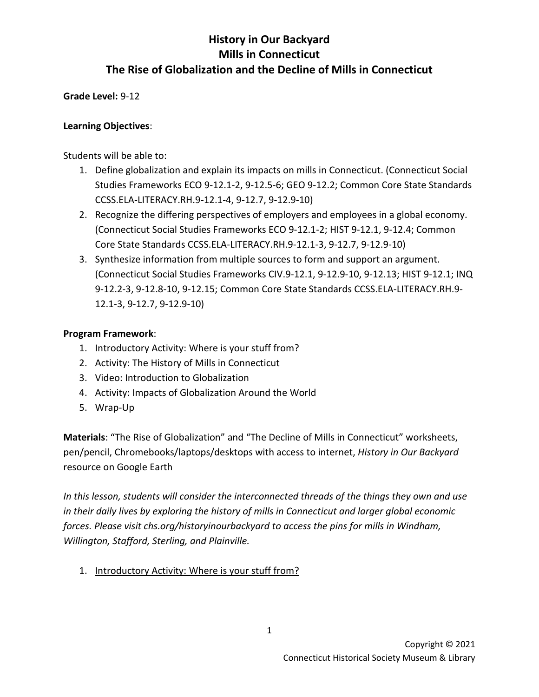### **Grade Level:** 9-12

### **Learning Objectives**:

Students will be able to:

- 1. Define globalization and explain its impacts on mills in Connecticut. (Connecticut Social Studies Frameworks ECO 9-12.1-2, 9-12.5-6; GEO 9-12.2; Common Core State Standards CCSS.ELA-LITERACY.RH.9-12.1-4, 9-12.7, 9-12.9-10)
- 2. Recognize the differing perspectives of employers and employees in a global economy. (Connecticut Social Studies Frameworks ECO 9-12.1-2; HIST 9-12.1, 9-12.4; Common Core State Standards CCSS.ELA-LITERACY.RH.9-12.1-3, 9-12.7, 9-12.9-10)
- 3. Synthesize information from multiple sources to form and support an argument. (Connecticut Social Studies Frameworks CIV.9-12.1, 9-12.9-10, 9-12.13; HIST 9-12.1; INQ 9-12.2-3, 9-12.8-10, 9-12.15; Common Core State Standards CCSS.ELA-LITERACY.RH.9- 12.1-3, 9-12.7, 9-12.9-10)

### **Program Framework**:

- 1. Introductory Activity: Where is your stuff from?
- 2. Activity: The History of Mills in Connecticut
- 3. Video: Introduction to Globalization
- 4. Activity: Impacts of Globalization Around the World
- 5. Wrap-Up

**Materials**: "The Rise of Globalization" and "The Decline of Mills in Connecticut" worksheets, pen/pencil, Chromebooks/laptops/desktops with access to internet, *History in Our Backyard* resource on Google Earth

*In this lesson, students will consider the interconnected threads of the things they own and use in their daily lives by exploring the history of mills in Connecticut and larger global economic forces. Please visit chs.org/historyinourbackyard to access the pins for mills in Windham, Willington, Stafford, Sterling, and Plainville.* 

1. Introductory Activity: Where is your stuff from?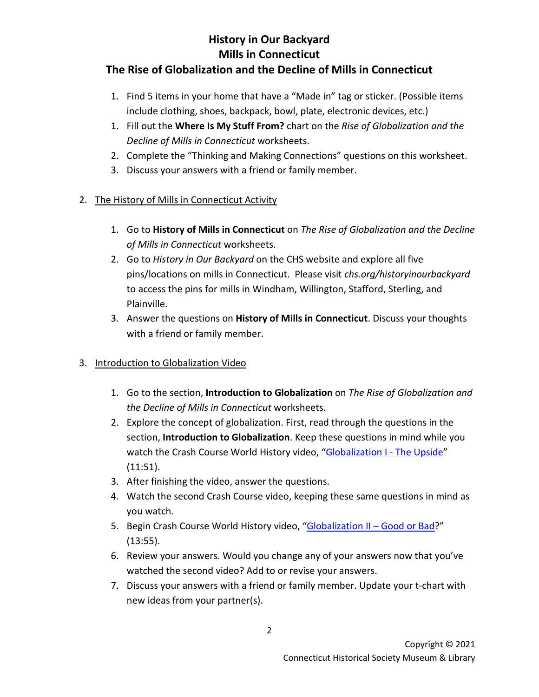# **History in Our Backyard Mills in Connecticut**

## **The Rise of Globalization and the Decline of Mills in Connecticut**

- 1. Find 5 items in your home that have a "Made in" tag or sticker. (Possible items include clothing, shoes, backpack, bowl, plate, electronic devices, etc.)
- 1. Fill out the **Where Is My Stuff From?** chart on the *Rise of Globalization and the Decline of Mills in Connecticut* worksheets.
- 2. Complete the "Thinking and Making Connections" questions on this worksheet.
- 3. Discuss your answers with a friend or family member.

### 2. The History of Mills in Connecticut Activity

- 1. Go to **History of Mills in Connecticut** on *The Rise of Globalization and the Decline of Mills in Connecticut* worksheets.
- 2. Go to *History in Our Backyard* on the CHS website and explore all five pins/locations on mills in Connecticut. Please visit *chs.org/historyinourbackyard* to access the pins for mills in Windham, Willington, Stafford, Sterling, and Plainville.
- 3. Answer the questions on **History of Mills in Connecticut**. Discuss your thoughts with a friend or family member.

## 3. Introduction to Globalization Video

- 1. Go to the section, **Introduction to Globalization** on *The Rise of Globalization and the Decline of Mills in Connecticut* worksheets.
- 2. Explore the concept of globalization. First, read through the questions in the section, **Introduction to Globalization**. Keep these questions in mind while you watch the Crash Course World History video, ["Globalization I -](https://youtu.be/5SnR-e0S6Ic) The Upside" (11:51).
- 3. After finishing the video, answer the questions.
- 4. Watch the second Crash Course video, keeping these same questions in mind as you watch.
- 5. Begin Crash Course World History video, "Globalization II Good or Bad?" (13:55).
- 6. Review your answers. Would you change any of your answers now that you've watched the second video? Add to or revise your answers.
- 7. Discuss your answers with a friend or family member. Update your t-chart with new ideas from your partner(s).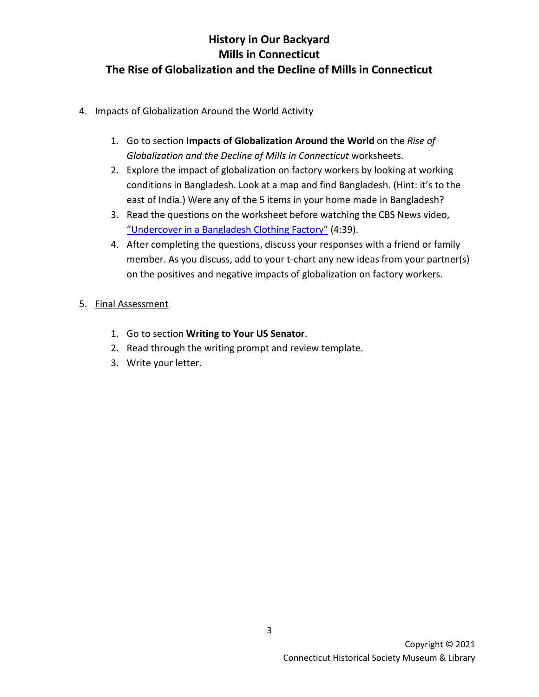### 4. Impacts of Globalization Around the World Activity

- 1. Go to section **Impacts of Globalization Around the World** on the *Rise of Globalization and the Decline of Mills in Connecticut* worksheets.
- 2. Explore the impact of globalization on factory workers by looking at working conditions in Bangladesh. Look at a map and find Bangladesh. (Hint: it's to the east of India.) Were any of the 5 items in your home made in Bangladesh?
- 3. Read the questions on the worksheet before watching the CBS News video, ["Undercover in a Bangladesh Clothing Factory"](https://youtu.be/W1mvcFuiTts) (4:39).
- 4. After completing the questions, discuss your responses with a friend or family member. As you discuss, add to your t-chart any new ideas from your partner(s) on the positives and negative impacts of globalization on factory workers.

### 5. Final Assessment

- 1. Go to section **Writing to Your US Senator**.
- 2. Read through the writing prompt and review template.
- 3. Write your letter.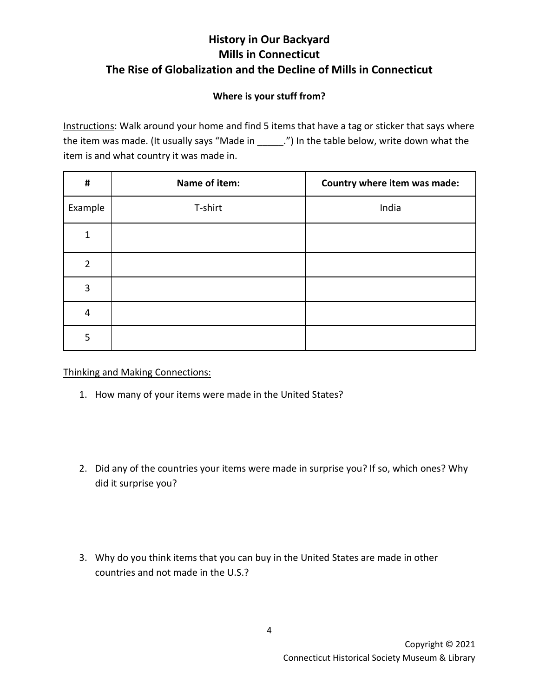### **Where is your stuff from?**

Instructions: Walk around your home and find 5 items that have a tag or sticker that says where the item was made. (It usually says "Made in  $\ldots$ ") In the table below, write down what the item is and what country it was made in.

| $\pmb{\sharp}$ | Name of item: | Country where item was made: |
|----------------|---------------|------------------------------|
| Example        | T-shirt       | India                        |
| 1              |               |                              |
| $\overline{2}$ |               |                              |
| 3              |               |                              |
| 4              |               |                              |
| 5              |               |                              |

Thinking and Making Connections:

- 1. How many of your items were made in the United States?
- 2. Did any of the countries your items were made in surprise you? If so, which ones? Why did it surprise you?
- 3. Why do you think items that you can buy in the United States are made in other countries and not made in the U.S.?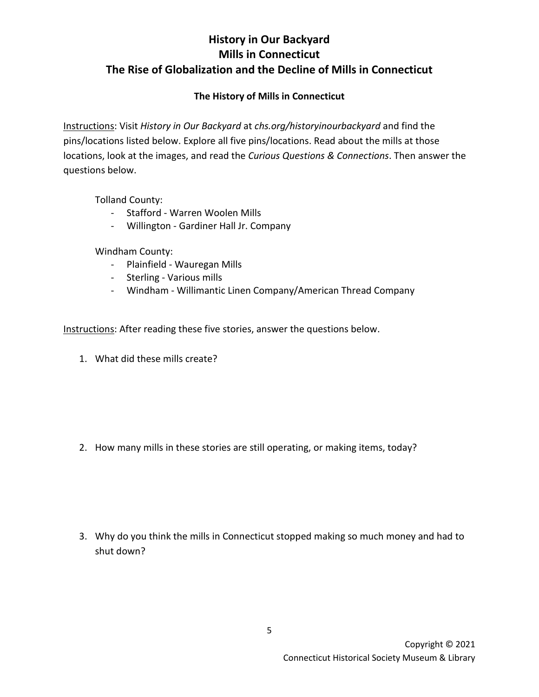### **The History of Mills in Connecticut**

Instructions: Visit *History in Our Backyard* at *chs.org/historyinourbackyard* and find the pins/locations listed below. Explore all five pins/locations. Read about the mills at those locations, look at the images, and read the *Curious Questions & Connections*. Then answer the questions below.

Tolland County:

- Stafford Warren Woolen Mills
- Willington Gardiner Hall Jr. Company

Windham County:

- Plainfield Wauregan Mills
- Sterling Various mills
- Windham Willimantic Linen Company/American Thread Company

Instructions: After reading these five stories, answer the questions below.

1. What did these mills create?

2. How many mills in these stories are still operating, or making items, today?

3. Why do you think the mills in Connecticut stopped making so much money and had to shut down?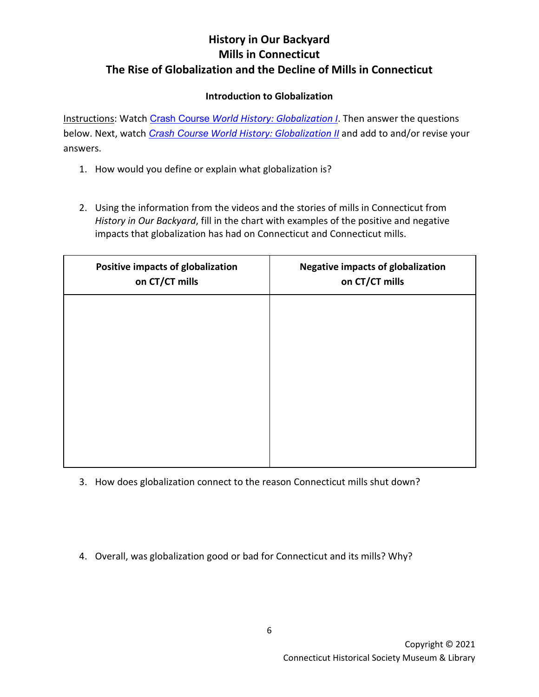### **Introduction to Globalization**

Instructions: Watch [Crash Course](https://youtu.be/5SnR-e0S6Ic) *[World History: Globalization I](https://youtu.be/5SnR-e0S6Ic)*. Then answer the questions below. Next, watch *[Crash Course](https://youtu.be/s_iwrt7D5OA) [World History: Globalization II](https://youtu.be/s_iwrt7D5OA)* and add to and/or revise your answers.

- 1. How would you define or explain what globalization is?
- 2. Using the information from the videos and the stories of mills in Connecticut from *History in Our Backyard*, fill in the chart with examples of the positive and negative impacts that globalization has had on Connecticut and Connecticut mills.

| Positive impacts of globalization<br>on CT/CT mills | <b>Negative impacts of globalization</b><br>on CT/CT mills |
|-----------------------------------------------------|------------------------------------------------------------|
|                                                     |                                                            |
|                                                     |                                                            |
|                                                     |                                                            |
|                                                     |                                                            |
|                                                     |                                                            |

- 3. How does globalization connect to the reason Connecticut mills shut down?
- 4. Overall, was globalization good or bad for Connecticut and its mills? Why?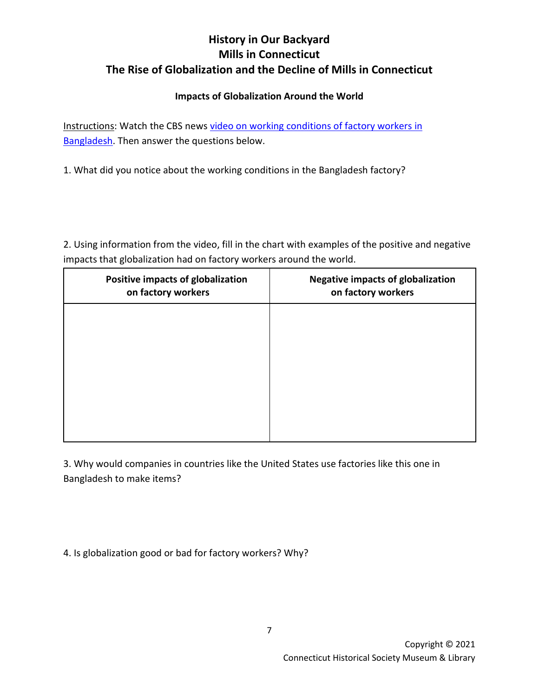### **Impacts of Globalization Around the World**

Instructions: Watch the CBS news [video on working conditions of factory workers in](https://youtu.be/W1mvcFuiTts)  [Bangladesh.](https://youtu.be/W1mvcFuiTts) Then answer the questions below.

1. What did you notice about the working conditions in the Bangladesh factory?

2. Using information from the video, fill in the chart with examples of the positive and negative impacts that globalization had on factory workers around the world.

| Positive impacts of globalization<br>on factory workers | <b>Negative impacts of globalization</b><br>on factory workers |
|---------------------------------------------------------|----------------------------------------------------------------|
|                                                         |                                                                |
|                                                         |                                                                |
|                                                         |                                                                |
|                                                         |                                                                |

3. Why would companies in countries like the United States use factories like this one in Bangladesh to make items?

4. Is globalization good or bad for factory workers? Why?